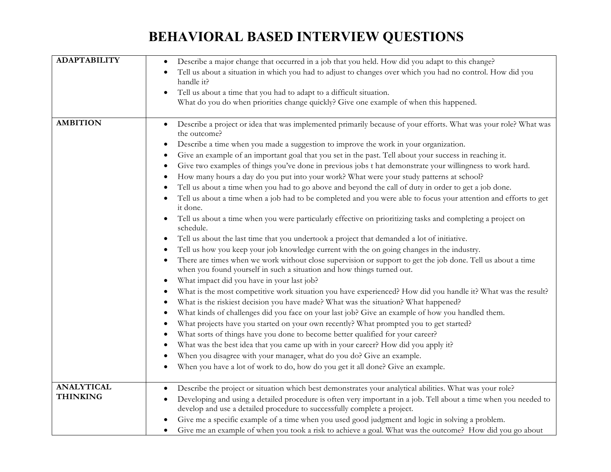## **BEHAVIORAL BASED INTERVIEW QUESTIONS**

| <b>ADAPTABILITY</b> | Describe a major change that occurred in a job that you held. How did you adapt to this change?<br>$\bullet$<br>Tell us about a situation in which you had to adjust to changes over which you had no control. How did you                |
|---------------------|-------------------------------------------------------------------------------------------------------------------------------------------------------------------------------------------------------------------------------------------|
|                     | handle it?                                                                                                                                                                                                                                |
|                     | Tell us about a time that you had to adapt to a difficult situation.<br>$\bullet$<br>What do you do when priorities change quickly? Give one example of when this happened.                                                               |
|                     |                                                                                                                                                                                                                                           |
| <b>AMBITION</b>     | Describe a project or idea that was implemented primarily because of your efforts. What was your role? What was<br>$\bullet$<br>the outcome?<br>Describe a time when you made a suggestion to improve the work in your organization.<br>٠ |
|                     | Give an example of an important goal that you set in the past. Tell about your success in reaching it.                                                                                                                                    |
|                     | $\bullet$                                                                                                                                                                                                                                 |
|                     | Give two examples of things you've done in previous jobs t hat demonstrate your willingness to work hard.<br>٠                                                                                                                            |
|                     | How many hours a day do you put into your work? What were your study patterns at school?                                                                                                                                                  |
|                     | Tell us about a time when you had to go above and beyond the call of duty in order to get a job done.                                                                                                                                     |
|                     | Tell us about a time when a job had to be completed and you were able to focus your attention and efforts to get<br>it done.                                                                                                              |
|                     | Tell us about a time when you were particularly effective on prioritizing tasks and completing a project on<br>schedule.                                                                                                                  |
|                     | Tell us about the last time that you undertook a project that demanded a lot of initiative.<br>$\bullet$                                                                                                                                  |
|                     | Tell us how you keep your job knowledge current with the on going changes in the industry.<br>$\bullet$                                                                                                                                   |
|                     | There are times when we work without close supervision or support to get the job done. Tell us about a time<br>when you found yourself in such a situation and how things turned out.                                                     |
|                     | What impact did you have in your last job?<br>$\bullet$                                                                                                                                                                                   |
|                     | What is the most competitive work situation you have experienced? How did you handle it? What was the result?                                                                                                                             |
|                     | What is the riskiest decision you have made? What was the situation? What happened?                                                                                                                                                       |
|                     | What kinds of challenges did you face on your last job? Give an example of how you handled them.                                                                                                                                          |
|                     | What projects have you started on your own recently? What prompted you to get started?<br>٠                                                                                                                                               |
|                     | What sorts of things have you done to become better qualified for your career?                                                                                                                                                            |
|                     | What was the best idea that you came up with in your career? How did you apply it?                                                                                                                                                        |
|                     | When you disagree with your manager, what do you do? Give an example.                                                                                                                                                                     |
|                     | When you have a lot of work to do, how do you get it all done? Give an example.                                                                                                                                                           |
| <b>ANALYTICAL</b>   | Describe the project or situation which best demonstrates your analytical abilities. What was your role?                                                                                                                                  |
| <b>THINKING</b>     | Developing and using a detailed procedure is often very important in a job. Tell about a time when you needed to<br>٠                                                                                                                     |
|                     | develop and use a detailed procedure to successfully complete a project.                                                                                                                                                                  |
|                     | Give me a specific example of a time when you used good judgment and logic in solving a problem.                                                                                                                                          |
|                     | Give me an example of when you took a risk to achieve a goal. What was the outcome? How did you go about<br>$\bullet$                                                                                                                     |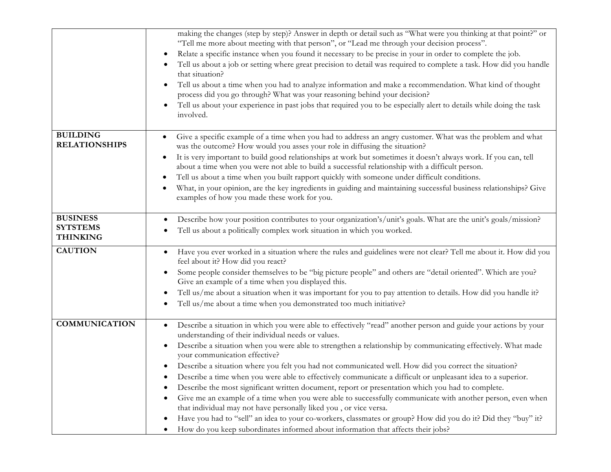|                                                       | making the changes (step by step)? Answer in depth or detail such as "What were you thinking at that point?" or<br>"Tell me more about meeting with that person", or "Lead me through your decision process".<br>Relate a specific instance when you found it necessary to be precise in your in order to complete the job.<br>$\bullet$<br>Tell us about a job or setting where great precision to detail was required to complete a task. How did you handle<br>that situation?<br>Tell us about a time when you had to analyze information and make a recommendation. What kind of thought<br>$\bullet$<br>process did you go through? What was your reasoning behind your decision?<br>Tell us about your experience in past jobs that required you to be especially alert to details while doing the task<br>involved.                                                                                                                                                                                                                                                        |
|-------------------------------------------------------|------------------------------------------------------------------------------------------------------------------------------------------------------------------------------------------------------------------------------------------------------------------------------------------------------------------------------------------------------------------------------------------------------------------------------------------------------------------------------------------------------------------------------------------------------------------------------------------------------------------------------------------------------------------------------------------------------------------------------------------------------------------------------------------------------------------------------------------------------------------------------------------------------------------------------------------------------------------------------------------------------------------------------------------------------------------------------------|
| <b>BUILDING</b><br><b>RELATIONSHIPS</b>               | Give a specific example of a time when you had to address an angry customer. What was the problem and what<br>$\bullet$<br>was the outcome? How would you asses your role in diffusing the situation?<br>It is very important to build good relationships at work but sometimes it doesn't always work. If you can, tell<br>٠<br>about a time when you were not able to build a successful relationship with a difficult person.<br>Tell us about a time when you built rapport quickly with someone under difficult conditions.<br>٠<br>What, in your opinion, are the key ingredients in guiding and maintaining successful business relationships? Give<br>٠<br>examples of how you made these work for you.                                                                                                                                                                                                                                                                                                                                                                    |
| <b>BUSINESS</b><br><b>SYTSTEMS</b><br><b>THINKING</b> | Describe how your position contributes to your organization's/unit's goals. What are the unit's goals/mission?<br>Tell us about a politically complex work situation in which you worked.                                                                                                                                                                                                                                                                                                                                                                                                                                                                                                                                                                                                                                                                                                                                                                                                                                                                                          |
| <b>CAUTION</b>                                        | Have you ever worked in a situation where the rules and guidelines were not clear? Tell me about it. How did you<br>$\bullet$<br>feel about it? How did you react?<br>Some people consider themselves to be "big picture people" and others are "detail oriented". Which are you?<br>Give an example of a time when you displayed this.<br>Tell us/me about a situation when it was important for you to pay attention to details. How did you handle it?<br>$\bullet$<br>Tell us/me about a time when you demonstrated too much initiative?<br>$\bullet$                                                                                                                                                                                                                                                                                                                                                                                                                                                                                                                          |
| <b>COMMUNICATION</b>                                  | Describe a situation in which you were able to effectively "read" another person and guide your actions by your<br>$\bullet$<br>understanding of their individual needs or values.<br>Describe a situation when you were able to strengthen a relationship by communicating effectively. What made<br>$\bullet$<br>your communication effective?<br>Describe a situation where you felt you had not communicated well. How did you correct the situation?<br>Describe a time when you were able to effectively communicate a difficult or unpleasant idea to a superior.<br>Describe the most significant written document, report or presentation which you had to complete.<br>Give me an example of a time when you were able to successfully communicate with another person, even when<br>that individual may not have personally liked you, or vice versa.<br>Have you had to "sell" an idea to your co-workers, classmates or group? How did you do it? Did they "buy" it?<br>$\bullet$<br>How do you keep subordinates informed about information that affects their jobs? |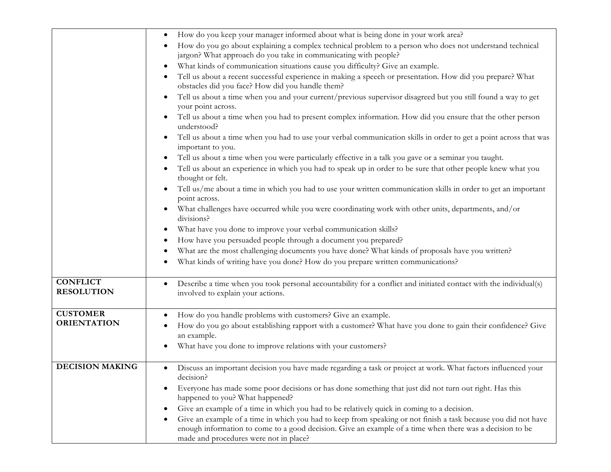|                                      | How do you keep your manager informed about what is being done in your work area?                                                                                                                                                                                                 |
|--------------------------------------|-----------------------------------------------------------------------------------------------------------------------------------------------------------------------------------------------------------------------------------------------------------------------------------|
|                                      | How do you go about explaining a complex technical problem to a person who does not understand technical<br>jargon? What approach do you take in communicating with people?                                                                                                       |
|                                      | What kinds of communication situations cause you difficulty? Give an example.<br>$\bullet$                                                                                                                                                                                        |
|                                      | Tell us about a recent successful experience in making a speech or presentation. How did you prepare? What<br>$\bullet$<br>obstacles did you face? How did you handle them?                                                                                                       |
|                                      | Tell us about a time when you and your current/previous supervisor disagreed but you still found a way to get<br>your point across.                                                                                                                                               |
|                                      | Tell us about a time when you had to present complex information. How did you ensure that the other person<br>understood?                                                                                                                                                         |
|                                      | Tell us about a time when you had to use your verbal communication skills in order to get a point across that was<br>important to you.                                                                                                                                            |
|                                      | Tell us about a time when you were particularly effective in a talk you gave or a seminar you taught.<br>$\bullet$                                                                                                                                                                |
|                                      | Tell us about an experience in which you had to speak up in order to be sure that other people knew what you<br>thought or felt.                                                                                                                                                  |
|                                      | Tell us/me about a time in which you had to use your written communication skills in order to get an important<br>point across.                                                                                                                                                   |
|                                      | What challenges have occurred while you were coordinating work with other units, departments, and/or<br>divisions?                                                                                                                                                                |
|                                      | What have you done to improve your verbal communication skills?<br>$\bullet$                                                                                                                                                                                                      |
|                                      | How have you persuaded people through a document you prepared?                                                                                                                                                                                                                    |
|                                      | What are the most challenging documents you have done? What kinds of proposals have you written?                                                                                                                                                                                  |
|                                      | What kinds of writing have you done? How do you prepare written communications?                                                                                                                                                                                                   |
| <b>CONFLICT</b><br><b>RESOLUTION</b> | Describe a time when you took personal accountability for a conflict and initiated contact with the individual(s)<br>$\bullet$<br>involved to explain your actions.                                                                                                               |
| <b>CUSTOMER</b>                      | How do you handle problems with customers? Give an example.                                                                                                                                                                                                                       |
| <b>ORIENTATION</b>                   | How do you go about establishing rapport with a customer? What have you done to gain their confidence? Give<br>an example.                                                                                                                                                        |
|                                      | What have you done to improve relations with your customers?                                                                                                                                                                                                                      |
| <b>DECISION MAKING</b>               | Discuss an important decision you have made regarding a task or project at work. What factors influenced your<br>$\bullet$<br>decision?                                                                                                                                           |
|                                      | Everyone has made some poor decisions or has done something that just did not turn out right. Has this<br>happened to you? What happened?                                                                                                                                         |
|                                      | Give an example of a time in which you had to be relatively quick in coming to a decision.<br>$\bullet$                                                                                                                                                                           |
|                                      | Give an example of a time in which you had to keep from speaking or not finish a task because you did not have<br>$\bullet$<br>enough information to come to a good decision. Give an example of a time when there was a decision to be<br>made and procedures were not in place? |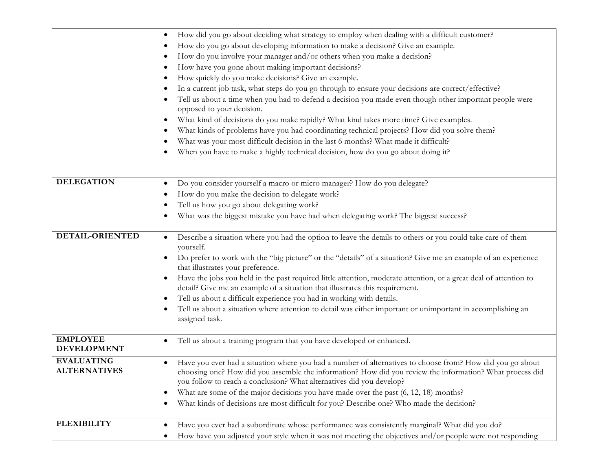|                                          | How did you go about deciding what strategy to employ when dealing with a difficult customer?<br>٠<br>How do you go about developing information to make a decision? Give an example.<br>How do you involve your manager and/or others when you make a decision?<br>How have you gone about making important decisions?<br>How quickly do you make decisions? Give an example.<br>In a current job task, what steps do you go through to ensure your decisions are correct/effective?<br>Tell us about a time when you had to defend a decision you made even though other important people were<br>opposed to your decision.<br>What kind of decisions do you make rapidly? What kind takes more time? Give examples.<br>٠<br>What kinds of problems have you had coordinating technical projects? How did you solve them?<br>What was your most difficult decision in the last 6 months? What made it difficult? |
|------------------------------------------|--------------------------------------------------------------------------------------------------------------------------------------------------------------------------------------------------------------------------------------------------------------------------------------------------------------------------------------------------------------------------------------------------------------------------------------------------------------------------------------------------------------------------------------------------------------------------------------------------------------------------------------------------------------------------------------------------------------------------------------------------------------------------------------------------------------------------------------------------------------------------------------------------------------------|
|                                          | When you have to make a highly technical decision, how do you go about doing it?                                                                                                                                                                                                                                                                                                                                                                                                                                                                                                                                                                                                                                                                                                                                                                                                                                   |
| <b>DELEGATION</b>                        | Do you consider yourself a macro or micro manager? How do you delegate?<br>٠<br>How do you make the decision to delegate work?<br>Tell us how you go about delegating work?<br>What was the biggest mistake you have had when delegating work? The biggest success?                                                                                                                                                                                                                                                                                                                                                                                                                                                                                                                                                                                                                                                |
| DETAIL-ORIENTED                          | Describe a situation where you had the option to leave the details to others or you could take care of them<br>٠<br>yourself.<br>Do prefer to work with the "big picture" or the "details" of a situation? Give me an example of an experience<br>$\bullet$<br>that illustrates your preference.<br>Have the jobs you held in the past required little attention, moderate attention, or a great deal of attention to<br>٠<br>detail? Give me an example of a situation that illustrates this requirement.<br>Tell us about a difficult experience you had in working with details.<br>€<br>Tell us about a situation where attention to detail was either important or unimportant in accomplishing an<br>assigned task.                                                                                                                                                                                          |
| <b>EMPLOYEE</b><br><b>DEVELOPMENT</b>    | Tell us about a training program that you have developed or enhanced.<br>$\bullet$                                                                                                                                                                                                                                                                                                                                                                                                                                                                                                                                                                                                                                                                                                                                                                                                                                 |
| <b>EVALUATING</b><br><b>ALTERNATIVES</b> | Have you ever had a situation where you had a number of alternatives to choose from? How did you go about<br>٠<br>choosing one? How did you assemble the information? How did you review the information? What process did<br>you follow to reach a conclusion? What alternatives did you develop?<br>What are some of the major decisions you have made over the past (6, 12, 18) months?<br>٠<br>What kinds of decisions are most difficult for you? Describe one? Who made the decision?<br>٠                                                                                                                                                                                                                                                                                                                                                                                                                   |
| <b>FLEXIBILITY</b>                       | Have you ever had a subordinate whose performance was consistently marginal? What did you do?<br>٠<br>How have you adjusted your style when it was not meeting the objectives and/or people were not responding                                                                                                                                                                                                                                                                                                                                                                                                                                                                                                                                                                                                                                                                                                    |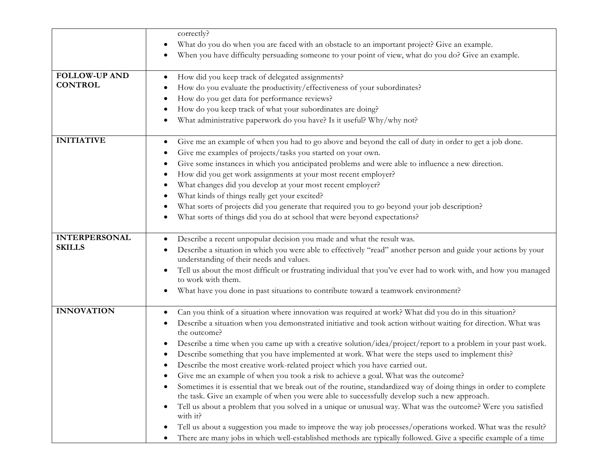|                      | correctly?                                                                                                                                                  |
|----------------------|-------------------------------------------------------------------------------------------------------------------------------------------------------------|
|                      | What do you do when you are faced with an obstacle to an important project? Give an example.<br>$\bullet$                                                   |
|                      | When you have difficulty persuading someone to your point of view, what do you do? Give an example.                                                         |
|                      |                                                                                                                                                             |
| <b>FOLLOW-UP AND</b> | How did you keep track of delegated assignments?<br>$\bullet$                                                                                               |
| <b>CONTROL</b>       | How do you evaluate the productivity/effectiveness of your subordinates?                                                                                    |
|                      | How do you get data for performance reviews?                                                                                                                |
|                      | How do you keep track of what your subordinates are doing?                                                                                                  |
|                      | What administrative paperwork do you have? Is it useful? Why/why not?                                                                                       |
|                      |                                                                                                                                                             |
| <b>INITIATIVE</b>    | Give me an example of when you had to go above and beyond the call of duty in order to get a job done.<br>$\bullet$                                         |
|                      | Give me examples of projects/tasks you started on your own.                                                                                                 |
|                      | Give some instances in which you anticipated problems and were able to influence a new direction.                                                           |
|                      | How did you get work assignments at your most recent employer?                                                                                              |
|                      | What changes did you develop at your most recent employer?                                                                                                  |
|                      | What kinds of things really get your excited?                                                                                                               |
|                      | What sorts of projects did you generate that required you to go beyond your job description?                                                                |
|                      | What sorts of things did you do at school that were beyond expectations?                                                                                    |
|                      |                                                                                                                                                             |
| <b>INTERPERSONAL</b> | Describe a recent unpopular decision you made and what the result was.                                                                                      |
| <b>SKILLS</b>        | Describe a situation in which you were able to effectively "read" another person and guide your actions by your<br>understanding of their needs and values. |
|                      | Tell us about the most difficult or frustrating individual that you've ever had to work with, and how you managed                                           |
|                      | to work with them.                                                                                                                                          |
|                      | What have you done in past situations to contribute toward a teamwork environment?                                                                          |
|                      |                                                                                                                                                             |
| <b>INNOVATION</b>    | Can you think of a situation where innovation was required at work? What did you do in this situation?<br>$\bullet$                                         |
|                      | Describe a situation when you demonstrated initiative and took action without waiting for direction. What was<br>the outcome?                               |
|                      | Describe a time when you came up with a creative solution/idea/project/report to a problem in your past work.                                               |
|                      | Describe something that you have implemented at work. What were the steps used to implement this?<br>$\bullet$                                              |
|                      | Describe the most creative work-related project which you have carried out.                                                                                 |
|                      | Give me an example of when you took a risk to achieve a goal. What was the outcome?                                                                         |
|                      | Sometimes it is essential that we break out of the routine, standardized way of doing things in order to complete<br>٠                                      |
|                      | the task. Give an example of when you were able to successfully develop such a new approach.                                                                |
|                      | Tell us about a problem that you solved in a unique or unusual way. What was the outcome? Were you satisfied<br>٠<br>with it?                               |
|                      | Tell us about a suggestion you made to improve the way job processes/operations worked. What was the result?                                                |
|                      | There are many jobs in which well-established methods are typically followed. Give a specific example of a time<br>٠                                        |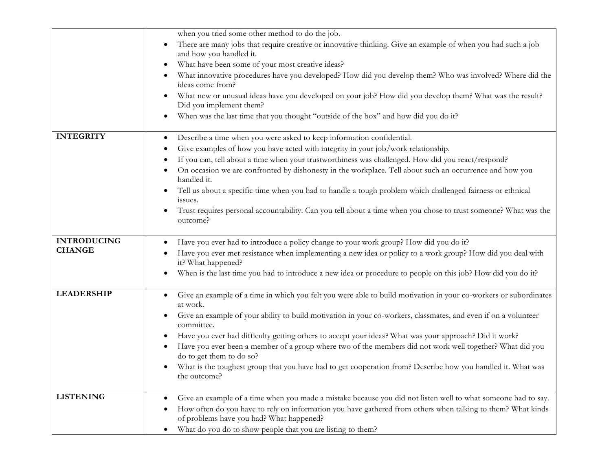|                    | when you tried some other method to do the job.                                                                                                         |
|--------------------|---------------------------------------------------------------------------------------------------------------------------------------------------------|
|                    | There are many jobs that require creative or innovative thinking. Give an example of when you had such a job<br>$\bullet$<br>and how you handled it.    |
|                    | What have been some of your most creative ideas?<br>$\bullet$                                                                                           |
|                    | What innovative procedures have you developed? How did you develop them? Who was involved? Where did the<br>ideas come from?                            |
|                    | What new or unusual ideas have you developed on your job? How did you develop them? What was the result?<br>Did you implement them?                     |
|                    | When was the last time that you thought "outside of the box" and how did you do it?<br>$\bullet$                                                        |
| <b>INTEGRITY</b>   | Describe a time when you were asked to keep information confidential.<br>$\bullet$                                                                      |
|                    | Give examples of how you have acted with integrity in your job/work relationship.                                                                       |
|                    | If you can, tell about a time when your trustworthiness was challenged. How did you react/respond?                                                      |
|                    | On occasion we are confronted by dishonesty in the workplace. Tell about such an occurrence and how you<br>handled it.                                  |
|                    | Tell us about a specific time when you had to handle a tough problem which challenged fairness or ethnical<br>issues.                                   |
|                    | Trust requires personal accountability. Can you tell about a time when you chose to trust someone? What was the<br>$\bullet$<br>outcome?                |
| <b>INTRODUCING</b> | Have you ever had to introduce a policy change to your work group? How did you do it?                                                                   |
| <b>CHANGE</b>      | Have you ever met resistance when implementing a new idea or policy to a work group? How did you deal with<br>it? What happened?                        |
|                    | When is the last time you had to introduce a new idea or procedure to people on this job? How did you do it?                                            |
| <b>LEADERSHIP</b>  | Give an example of a time in which you felt you were able to build motivation in your co-workers or subordinates<br>at work.                            |
|                    | Give an example of your ability to build motivation in your co-workers, classmates, and even if on a volunteer<br>$\bullet$<br>committee.               |
|                    | Have you ever had difficulty getting others to accept your ideas? What was your approach? Did it work?                                                  |
|                    | Have you ever been a member of a group where two of the members did not work well together? What did you<br>do to get them to do so?                    |
|                    | What is the toughest group that you have had to get cooperation from? Describe how you handled it. What was<br>the outcome?                             |
| <b>LISTENING</b>   | Give an example of a time when you made a mistake because you did not listen well to what someone had to say.                                           |
|                    | How often do you have to rely on information you have gathered from others when talking to them? What kinds<br>of problems have you had? What happened? |
|                    | What do you do to show people that you are listing to them?                                                                                             |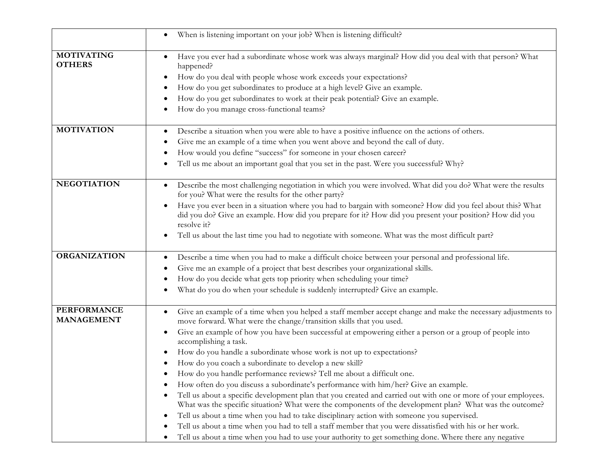|                                         | When is listening important on your job? When is listening difficult?<br>٠                                                                                                                                                                                                                                                                                                                                                                                                                                                                                                                                                                                                                                                                                                                                                                                                                                                                                                                                                                                                                                                                                                               |
|-----------------------------------------|------------------------------------------------------------------------------------------------------------------------------------------------------------------------------------------------------------------------------------------------------------------------------------------------------------------------------------------------------------------------------------------------------------------------------------------------------------------------------------------------------------------------------------------------------------------------------------------------------------------------------------------------------------------------------------------------------------------------------------------------------------------------------------------------------------------------------------------------------------------------------------------------------------------------------------------------------------------------------------------------------------------------------------------------------------------------------------------------------------------------------------------------------------------------------------------|
| <b>MOTIVATING</b><br><b>OTHERS</b>      | Have you ever had a subordinate whose work was always marginal? How did you deal with that person? What<br>happened?<br>How do you deal with people whose work exceeds your expectations?<br>How do you get subordinates to produce at a high level? Give an example.<br>How do you get subordinates to work at their peak potential? Give an example.<br>How do you manage cross-functional teams?                                                                                                                                                                                                                                                                                                                                                                                                                                                                                                                                                                                                                                                                                                                                                                                      |
| <b>MOTIVATION</b>                       | Describe a situation when you were able to have a positive influence on the actions of others.<br>Give me an example of a time when you went above and beyond the call of duty.<br>How would you define "success" for someone in your chosen career?<br>Tell us me about an important goal that you set in the past. Were you successful? Why?                                                                                                                                                                                                                                                                                                                                                                                                                                                                                                                                                                                                                                                                                                                                                                                                                                           |
| <b>NEGOTIATION</b>                      | Describe the most challenging negotiation in which you were involved. What did you do? What were the results<br>$\bullet$<br>for you? What were the results for the other party?<br>Have you ever been in a situation where you had to bargain with someone? How did you feel about this? What<br>did you do? Give an example. How did you prepare for it? How did you present your position? How did you<br>resolve it?<br>Tell us about the last time you had to negotiate with someone. What was the most difficult part?                                                                                                                                                                                                                                                                                                                                                                                                                                                                                                                                                                                                                                                             |
| <b>ORGANIZATION</b>                     | Describe a time when you had to make a difficult choice between your personal and professional life.<br>Give me an example of a project that best describes your organizational skills.<br>How do you decide what gets top priority when scheduling your time?<br>What do you do when your schedule is suddenly interrupted? Give an example.                                                                                                                                                                                                                                                                                                                                                                                                                                                                                                                                                                                                                                                                                                                                                                                                                                            |
| <b>PERFORMANCE</b><br><b>MANAGEMENT</b> | Give an example of a time when you helped a staff member accept change and make the necessary adjustments to<br>٠<br>move forward. What were the change/transition skills that you used.<br>Give an example of how you have been successful at empowering either a person or a group of people into<br>accomplishing a task.<br>How do you handle a subordinate whose work is not up to expectations?<br>How do you coach a subordinate to develop a new skill?<br>How do you handle performance reviews? Tell me about a difficult one.<br>How often do you discuss a subordinate's performance with him/her? Give an example.<br>Tell us about a specific development plan that you created and carried out with one or more of your employees.<br>What was the specific situation? What were the components of the development plan? What was the outcome?<br>Tell us about a time when you had to take disciplinary action with someone you supervised.<br>٠<br>Tell us about a time when you had to tell a staff member that you were dissatisfied with his or her work.<br>Tell us about a time when you had to use your authority to get something done. Where there any negative |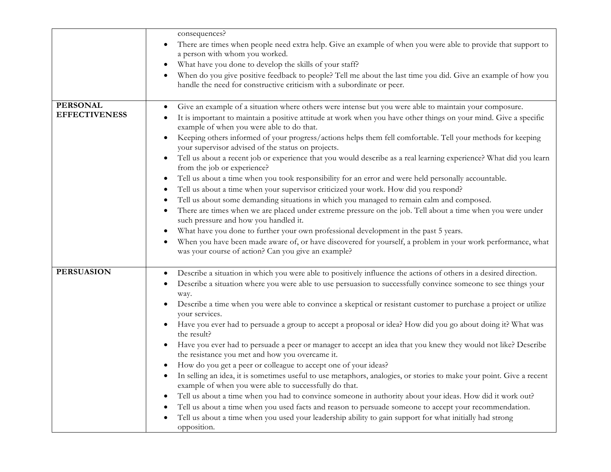|                      | consequences?                                                                                                                                                                           |
|----------------------|-----------------------------------------------------------------------------------------------------------------------------------------------------------------------------------------|
|                      | There are times when people need extra help. Give an example of when you were able to provide that support to<br>$\bullet$<br>a person with whom you worked.                            |
|                      | What have you done to develop the skills of your staff?                                                                                                                                 |
|                      | When do you give positive feedback to people? Tell me about the last time you did. Give an example of how you<br>handle the need for constructive criticism with a subordinate or peer. |
| <b>PERSONAL</b>      | Give an example of a situation where others were intense but you were able to maintain your composure.<br>$\bullet$                                                                     |
| <b>EFFECTIVENESS</b> | It is important to maintain a positive attitude at work when you have other things on your mind. Give a specific<br>example of when you were able to do that.                           |
|                      | Keeping others informed of your progress/actions helps them fell comfortable. Tell your methods for keeping<br>your supervisor advised of the status on projects.                       |
|                      | Tell us about a recent job or experience that you would describe as a real learning experience? What did you learn<br>$\bullet$<br>from the job or experience?                          |
|                      | Tell us about a time when you took responsibility for an error and were held personally accountable.<br>$\bullet$                                                                       |
|                      | Tell us about a time when your supervisor criticized your work. How did you respond?                                                                                                    |
|                      | Tell us about some demanding situations in which you managed to remain calm and composed.                                                                                               |
|                      | There are times when we are placed under extreme pressure on the job. Tell about a time when you were under<br>such pressure and how you handled it.                                    |
|                      | What have you done to further your own professional development in the past 5 years.                                                                                                    |
|                      | When you have been made aware of, or have discovered for yourself, a problem in your work performance, what<br>was your course of action? Can you give an example?                      |
| <b>PERSUASION</b>    | Describe a situation in which you were able to positively influence the actions of others in a desired direction.                                                                       |
|                      | Describe a situation where you were able to use persuasion to successfully convince someone to see things your<br>way.                                                                  |
|                      | Describe a time when you were able to convince a skeptical or resistant customer to purchase a project or utilize<br>your services.                                                     |
|                      | Have you ever had to persuade a group to accept a proposal or idea? How did you go about doing it? What was<br>$\bullet$<br>the result?                                                 |
|                      | Have you ever had to persuade a peer or manager to accept an idea that you knew they would not like? Describe<br>the resistance you met and how you overcame it.                        |
|                      | How do you get a peer or colleague to accept one of your ideas?                                                                                                                         |
|                      | In selling an idea, it is sometimes useful to use metaphors, analogies, or stories to make your point. Give a recent<br>example of when you were able to successfully do that.          |
|                      | Tell us about a time when you had to convince someone in authority about your ideas. How did it work out?<br>$\bullet$                                                                  |
|                      | Tell us about a time when you used facts and reason to persuade someone to accept your recommendation.                                                                                  |
|                      | Tell us about a time when you used your leadership ability to gain support for what initially had strong<br>opposition.                                                                 |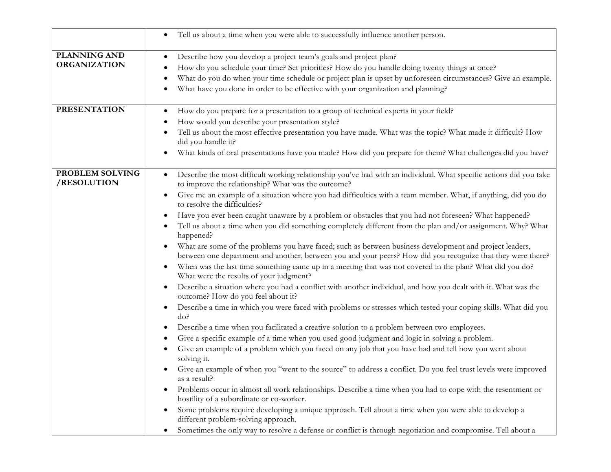|                                     | Tell us about a time when you were able to successfully influence another person.<br>$\bullet$                                                                                                                                                                                                                                                                                                                                                                                                                                                                                                                                                                                                                                                                                                                                                                                                                                                                                                                                                                                                                                                                                                                                                                                                                                                                                                                                                                                                                                                                                                                                                                                                                                                                                                                                                                                                                                                                                                                                                                                                                                                                                                                                     |
|-------------------------------------|------------------------------------------------------------------------------------------------------------------------------------------------------------------------------------------------------------------------------------------------------------------------------------------------------------------------------------------------------------------------------------------------------------------------------------------------------------------------------------------------------------------------------------------------------------------------------------------------------------------------------------------------------------------------------------------------------------------------------------------------------------------------------------------------------------------------------------------------------------------------------------------------------------------------------------------------------------------------------------------------------------------------------------------------------------------------------------------------------------------------------------------------------------------------------------------------------------------------------------------------------------------------------------------------------------------------------------------------------------------------------------------------------------------------------------------------------------------------------------------------------------------------------------------------------------------------------------------------------------------------------------------------------------------------------------------------------------------------------------------------------------------------------------------------------------------------------------------------------------------------------------------------------------------------------------------------------------------------------------------------------------------------------------------------------------------------------------------------------------------------------------------------------------------------------------------------------------------------------------|
| PLANNING AND<br><b>ORGANIZATION</b> | Describe how you develop a project team's goals and project plan?<br>$\bullet$<br>How do you schedule your time? Set priorities? How do you handle doing twenty things at once?<br>What do you do when your time schedule or project plan is upset by unforeseen circumstances? Give an example.<br>What have you done in order to be effective with your organization and planning?                                                                                                                                                                                                                                                                                                                                                                                                                                                                                                                                                                                                                                                                                                                                                                                                                                                                                                                                                                                                                                                                                                                                                                                                                                                                                                                                                                                                                                                                                                                                                                                                                                                                                                                                                                                                                                               |
| <b>PRESENTATION</b>                 | How do you prepare for a presentation to a group of technical experts in your field?<br>$\bullet$<br>How would you describe your presentation style?<br>Tell us about the most effective presentation you have made. What was the topic? What made it difficult? How<br>did you handle it?<br>What kinds of oral presentations have you made? How did you prepare for them? What challenges did you have?<br>٠                                                                                                                                                                                                                                                                                                                                                                                                                                                                                                                                                                                                                                                                                                                                                                                                                                                                                                                                                                                                                                                                                                                                                                                                                                                                                                                                                                                                                                                                                                                                                                                                                                                                                                                                                                                                                     |
| PROBLEM SOLVING<br>/RESOLUTION      | Describe the most difficult working relationship you've had with an individual. What specific actions did you take<br>$\bullet$<br>to improve the relationship? What was the outcome?<br>Give me an example of a situation where you had difficulties with a team member. What, if anything, did you do<br>٠<br>to resolve the difficulties?<br>Have you ever been caught unaware by a problem or obstacles that you had not foreseen? What happened?<br>$\bullet$<br>Tell us about a time when you did something completely different from the plan and/or assignment. Why? What<br>happened?<br>What are some of the problems you have faced; such as between business development and project leaders,<br>٠<br>between one department and another, between you and your peers? How did you recognize that they were there?<br>When was the last time something came up in a meeting that was not covered in the plan? What did you do?<br>$\bullet$<br>What were the results of your judgment?<br>Describe a situation where you had a conflict with another individual, and how you dealt with it. What was the<br>$\bullet$<br>outcome? How do you feel about it?<br>Describe a time in which you were faced with problems or stresses which tested your coping skills. What did you<br>$\bullet$<br>do?<br>Describe a time when you facilitated a creative solution to a problem between two employees.<br>Give a specific example of a time when you used good judgment and logic in solving a problem.<br>Give an example of a problem which you faced on any job that you have had and tell how you went about<br>solving it.<br>Give an example of when you "went to the source" to address a conflict. Do you feel trust levels were improved<br>as a result?<br>Problems occur in almost all work relationships. Describe a time when you had to cope with the resentment or<br>$\bullet$<br>hostility of a subordinate or co-worker.<br>Some problems require developing a unique approach. Tell about a time when you were able to develop a<br>$\bullet$<br>different problem-solving approach.<br>Sometimes the only way to resolve a defense or conflict is through negotiation and compromise. Tell about a<br>٠ |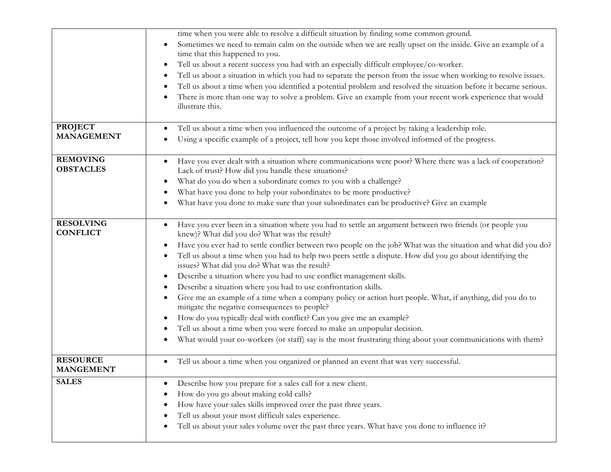|                                     | time when you were able to resolve a difficult situation by finding some common ground.<br>Sometimes we need to remain calm on the outside when we are really upset on the inside. Give an example of a<br>time that this happened to you.<br>Tell us about a recent success you had with an especially difficult employee/co-worker.<br>$\bullet$<br>Tell us about a situation in which you had to separate the person from the issue when working to resolve issues.<br>Tell us about a time when you identified a potential problem and resolved the situation before it became serious.<br>There is more than one way to solve a problem. Give an example from your recent work experience that would                                                                                                                                                                                                                                                                                                                      |
|-------------------------------------|--------------------------------------------------------------------------------------------------------------------------------------------------------------------------------------------------------------------------------------------------------------------------------------------------------------------------------------------------------------------------------------------------------------------------------------------------------------------------------------------------------------------------------------------------------------------------------------------------------------------------------------------------------------------------------------------------------------------------------------------------------------------------------------------------------------------------------------------------------------------------------------------------------------------------------------------------------------------------------------------------------------------------------|
| <b>PROJECT</b><br><b>MANAGEMENT</b> | illustrate this.<br>Tell us about a time when you influenced the outcome of a project by taking a leadership role.                                                                                                                                                                                                                                                                                                                                                                                                                                                                                                                                                                                                                                                                                                                                                                                                                                                                                                             |
|                                     | Using a specific example of a project, tell how you kept those involved informed of the progress.                                                                                                                                                                                                                                                                                                                                                                                                                                                                                                                                                                                                                                                                                                                                                                                                                                                                                                                              |
| <b>REMOVING</b><br><b>OBSTACLES</b> | Have you ever dealt with a situation where communications were poor? Where there was a lack of cooperation?<br>$\bullet$<br>Lack of trust? How did you handle these situations?                                                                                                                                                                                                                                                                                                                                                                                                                                                                                                                                                                                                                                                                                                                                                                                                                                                |
|                                     | What do you do when a subordinate comes to you with a challenge?<br>$\bullet$                                                                                                                                                                                                                                                                                                                                                                                                                                                                                                                                                                                                                                                                                                                                                                                                                                                                                                                                                  |
|                                     | What have you done to help your subordinates to be more productive?                                                                                                                                                                                                                                                                                                                                                                                                                                                                                                                                                                                                                                                                                                                                                                                                                                                                                                                                                            |
|                                     | What have you done to make sure that your subordinates can be productive? Give an example                                                                                                                                                                                                                                                                                                                                                                                                                                                                                                                                                                                                                                                                                                                                                                                                                                                                                                                                      |
| <b>RESOLVING</b><br><b>CONFLICT</b> | Have you ever been in a situation where you had to settle an argument between two friends (or people you<br>٠<br>knew)? What did you do? What was the result?<br>Have you ever had to settle conflict between two people on the job? What was the situation and what did you do?<br>Tell us about a time when you had to help two peers settle a dispute. How did you go about identifying the<br>issues? What did you do? What was the result?<br>Describe a situation where you had to use conflict management skills.<br>Describe a situation where you had to use confrontation skills.<br>Give me an example of a time when a company policy or action hurt people. What, if anything, did you do to<br>mitigate the negative consequences to people?<br>How do you typically deal with conflict? Can you give me an example?<br>Tell us about a time when you were forced to make an unpopular decision.<br>What would your co-workers (or staff) say is the most frustrating thing about your communications with them? |
| <b>RESOURCE</b><br><b>MANGEMENT</b> | Tell us about a time when you organized or planned an event that was very successful.<br>$\bullet$                                                                                                                                                                                                                                                                                                                                                                                                                                                                                                                                                                                                                                                                                                                                                                                                                                                                                                                             |
| <b>SALES</b>                        | Describe how you prepare for a sales call for a new client.<br>$\bullet$<br>How do you go about making cold calls?<br>How have your sales skills improved over the past three years.<br>Tell us about your most difficult sales experience.<br>Tell us about your sales volume over the past three years. What have you done to influence it?                                                                                                                                                                                                                                                                                                                                                                                                                                                                                                                                                                                                                                                                                  |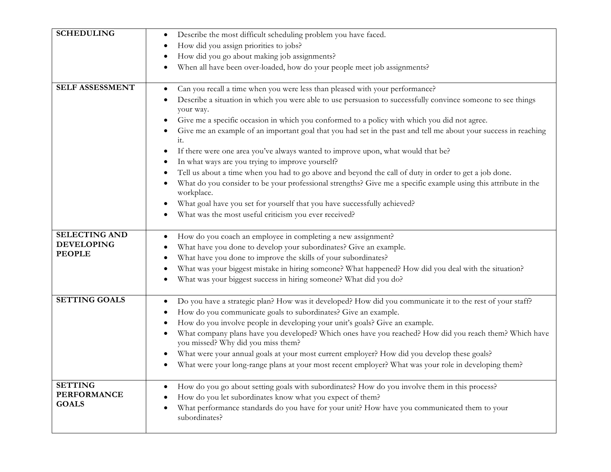| <b>SCHEDULING</b>                                          | Describe the most difficult scheduling problem you have faced.<br>$\bullet$<br>How did you assign priorities to jobs?                                                                                                                                                                                                                                                                                                                                                                                                                                                                                                                                                                                                                                                                                                                                                                                                                                     |
|------------------------------------------------------------|-----------------------------------------------------------------------------------------------------------------------------------------------------------------------------------------------------------------------------------------------------------------------------------------------------------------------------------------------------------------------------------------------------------------------------------------------------------------------------------------------------------------------------------------------------------------------------------------------------------------------------------------------------------------------------------------------------------------------------------------------------------------------------------------------------------------------------------------------------------------------------------------------------------------------------------------------------------|
|                                                            | How did you go about making job assignments?<br>When all have been over-loaded, how do your people meet job assignments?                                                                                                                                                                                                                                                                                                                                                                                                                                                                                                                                                                                                                                                                                                                                                                                                                                  |
| SELF ASSESSMENT                                            | Can you recall a time when you were less than pleased with your performance?<br>Describe a situation in which you were able to use persuasion to successfully convince someone to see things<br>your way.<br>Give me a specific occasion in which you conformed to a policy with which you did not agree.<br>Give me an example of an important goal that you had set in the past and tell me about your success in reaching<br>it.<br>If there were one area you've always wanted to improve upon, what would that be?<br>In what ways are you trying to improve yourself?<br>Tell us about a time when you had to go above and beyond the call of duty in order to get a job done.<br>What do you consider to be your professional strengths? Give me a specific example using this attribute in the<br>workplace.<br>What goal have you set for yourself that you have successfully achieved?<br>What was the most useful criticism you ever received? |
| <b>SELECTING AND</b><br><b>DEVELOPING</b><br><b>PEOPLE</b> | How do you coach an employee in completing a new assignment?<br>What have you done to develop your subordinates? Give an example.<br>What have you done to improve the skills of your subordinates?<br>What was your biggest mistake in hiring someone? What happened? How did you deal with the situation?<br>What was your biggest success in hiring someone? What did you do?                                                                                                                                                                                                                                                                                                                                                                                                                                                                                                                                                                          |
| <b>SETTING GOALS</b>                                       | Do you have a strategic plan? How was it developed? How did you communicate it to the rest of your staff?<br>How do you communicate goals to subordinates? Give an example.<br>How do you involve people in developing your unit's goals? Give an example.<br>What company plans have you developed? Which ones have you reached? How did you reach them? Which have<br>you missed? Why did you miss them?<br>What were your annual goals at your most current employer? How did you develop these goals?<br>$\bullet$<br>What were your long-range plans at your most recent employer? What was your role in developing them?                                                                                                                                                                                                                                                                                                                            |
| <b>SETTING</b><br><b>PERFORMANCE</b><br><b>GOALS</b>       | How do you go about setting goals with subordinates? How do you involve them in this process?<br>How do you let subordinates know what you expect of them?<br>What performance standards do you have for your unit? How have you communicated them to your<br>subordinates?                                                                                                                                                                                                                                                                                                                                                                                                                                                                                                                                                                                                                                                                               |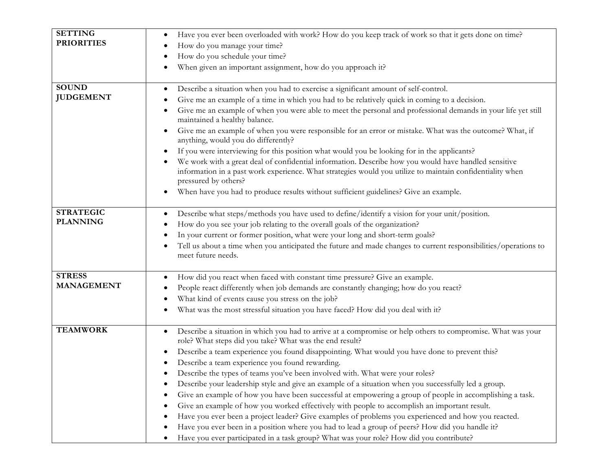| <b>SETTING</b><br><b>PRIORITIES</b> | Have you ever been overloaded with work? How do you keep track of work so that it gets done on time?<br>٠<br>How do you manage your time?<br>How do you schedule your time?<br>When given an important assignment, how do you approach it?                                                                                                                                                                                                                                                                                                                                                                                                                                                                                                                                                                                                                                                                                                                                                                                                       |
|-------------------------------------|--------------------------------------------------------------------------------------------------------------------------------------------------------------------------------------------------------------------------------------------------------------------------------------------------------------------------------------------------------------------------------------------------------------------------------------------------------------------------------------------------------------------------------------------------------------------------------------------------------------------------------------------------------------------------------------------------------------------------------------------------------------------------------------------------------------------------------------------------------------------------------------------------------------------------------------------------------------------------------------------------------------------------------------------------|
| <b>SOUND</b><br><b>JUDGEMENT</b>    | Describe a situation when you had to exercise a significant amount of self-control.<br>Give me an example of a time in which you had to be relatively quick in coming to a decision.<br>Give me an example of when you were able to meet the personal and professional demands in your life yet still<br>maintained a healthy balance.<br>Give me an example of when you were responsible for an error or mistake. What was the outcome? What, if<br>anything, would you do differently?<br>If you were interviewing for this position what would you be looking for in the applicants?<br>We work with a great deal of confidential information. Describe how you would have handled sensitive<br>information in a past work experience. What strategies would you utilize to maintain confidentiality when<br>pressured by others?<br>When have you had to produce results without sufficient guidelines? Give an example.<br>٠                                                                                                                |
| <b>STRATEGIC</b><br><b>PLANNING</b> | Describe what steps/methods you have used to define/identify a vision for your unit/position.<br>How do you see your job relating to the overall goals of the organization?<br>In your current or former position, what were your long and short-term goals?<br>Tell us about a time when you anticipated the future and made changes to current responsibilities/operations to<br>meet future needs.                                                                                                                                                                                                                                                                                                                                                                                                                                                                                                                                                                                                                                            |
| <b>STRESS</b><br><b>MANAGEMENT</b>  | How did you react when faced with constant time pressure? Give an example.<br>People react differently when job demands are constantly changing; how do you react?<br>What kind of events cause you stress on the job?<br>What was the most stressful situation you have faced? How did you deal with it?                                                                                                                                                                                                                                                                                                                                                                                                                                                                                                                                                                                                                                                                                                                                        |
| <b>TEAMWORK</b>                     | Describe a situation in which you had to arrive at a compromise or help others to compromise. What was your<br>role? What steps did you take? What was the end result?<br>Describe a team experience you found disappointing. What would you have done to prevent this?<br>$\bullet$<br>Describe a team experience you found rewarding.<br>Describe the types of teams you've been involved with. What were your roles?<br>Describe your leadership style and give an example of a situation when you successfully led a group.<br>Give an example of how you have been successful at empowering a group of people in accomplishing a task.<br>Give an example of how you worked effectively with people to accomplish an important result.<br>Have you ever been a project leader? Give examples of problems you experienced and how you reacted.<br>Have you ever been in a position where you had to lead a group of peers? How did you handle it?<br>Have you ever participated in a task group? What was your role? How did you contribute? |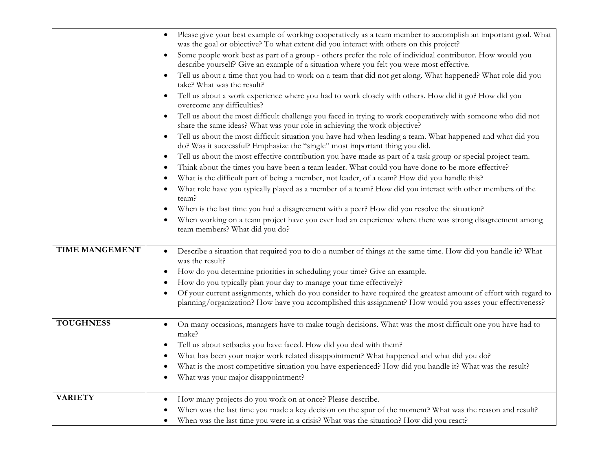|                  | Please give your best example of working cooperatively as a team member to accomplish an important goal. What<br>was the goal or objective? To what extent did you interact with others on this project?                      |
|------------------|-------------------------------------------------------------------------------------------------------------------------------------------------------------------------------------------------------------------------------|
|                  | Some people work best as part of a group - others prefer the role of individual contributor. How would you<br>$\bullet$<br>describe yourself? Give an example of a situation where you felt you were most effective.          |
|                  | Tell us about a time that you had to work on a team that did not get along. What happened? What role did you<br>take? What was the result?                                                                                    |
|                  | Tell us about a work experience where you had to work closely with others. How did it go? How did you<br>overcome any difficulties?                                                                                           |
|                  | Tell us about the most difficult challenge you faced in trying to work cooperatively with someone who did not<br>$\bullet$<br>share the same ideas? What was your role in achieving the work objective?                       |
|                  | Tell us about the most difficult situation you have had when leading a team. What happened and what did you<br>$\bullet$<br>do? Was it successful? Emphasize the "single" most important thing you did.                       |
|                  | Tell us about the most effective contribution you have made as part of a task group or special project team.<br>$\bullet$                                                                                                     |
|                  | Think about the times you have been a team leader. What could you have done to be more effective?<br>$\bullet$                                                                                                                |
|                  | What is the difficult part of being a member, not leader, of a team? How did you handle this?                                                                                                                                 |
|                  | What role have you typically played as a member of a team? How did you interact with other members of the<br>team?                                                                                                            |
|                  | When is the last time you had a disagreement with a peer? How did you resolve the situation?<br>$\bullet$                                                                                                                     |
|                  | When working on a team project have you ever had an experience where there was strong disagreement among<br>team members? What did you do?                                                                                    |
|                  |                                                                                                                                                                                                                               |
| TIME MANGEMENT   | Describe a situation that required you to do a number of things at the same time. How did you handle it? What<br>$\bullet$<br>was the result?                                                                                 |
|                  | How do you determine priorities in scheduling your time? Give an example.                                                                                                                                                     |
|                  | How do you typically plan your day to manage your time effectively?                                                                                                                                                           |
|                  | Of your current assignments, which do you consider to have required the greatest amount of effort with regard to<br>planning/organization? How have you accomplished this assignment? How would you asses your effectiveness? |
| <b>TOUGHNESS</b> | On many occasions, managers have to make tough decisions. What was the most difficult one you have had to<br>$\bullet$<br>make?                                                                                               |
|                  | Tell us about setbacks you have faced. How did you deal with them?<br>٠                                                                                                                                                       |
|                  | What has been your major work related disappointment? What happened and what did you do?<br>$\bullet$                                                                                                                         |
|                  | What is the most competitive situation you have experienced? How did you handle it? What was the result?<br>$\bullet$                                                                                                         |
|                  | What was your major disappointment?                                                                                                                                                                                           |
| <b>VARIETY</b>   | How many projects do you work on at once? Please describe.                                                                                                                                                                    |
|                  | When was the last time you made a key decision on the spur of the moment? What was the reason and result?                                                                                                                     |
|                  | When was the last time you were in a crisis? What was the situation? How did you react?                                                                                                                                       |